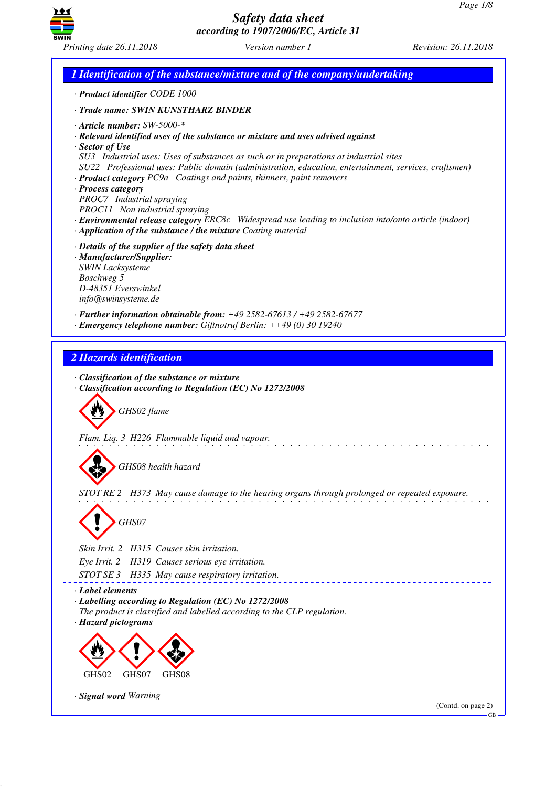GB



*Safety data sheet according to 1907/2006/EC, Article 31*

*1 Identification of the substance/mixture and of the company/undertaking · Product identifier CODE 1000 · Trade name: SWIN KUNSTHARZ BINDER · Article number: SW-5000-\* · Relevant identified uses of the substance or mixture and uses advised against · Sector of Use SU3 Industrial uses: Uses of substances as such or in preparations at industrial sites SU22 Professional uses: Public domain (administration, education, entertainment, services, craftsmen) · Product category PC9a Coatings and paints, thinners, paint removers · Process category PROC7 Industrial spraying PROC11 Non industrial spraying · Environmental release category ERC8c Widespread use leading to inclusion into/onto article (indoor) · Application of the substance / the mixture Coating material · Details of the supplier of the safety data sheet · Manufacturer/Supplier: SWIN Lacksysteme Boschweg 5 D-48351 Everswinkel info@swinsysteme.de · Further information obtainable from: +49 2582-67613 / +49 2582-67677 · Emergency telephone number: Giftnotruf Berlin: ++49 (0) 30 19240 2 Hazards identification · Classification of the substance or mixture · Classification according to Regulation (EC) No 1272/2008* d~*GHS02 flame Flam. Liq. 3 H226 Flammable liquid and vapour.* d~*GHS08 health hazard STOT RE 2 H373 May cause damage to the hearing organs through prolonged or repeated exposure.* d~*GHS07 Skin Irrit. 2 H315 Causes skin irritation. Eye Irrit. 2 H319 Causes serious eye irritation. STOT SE 3 H335 May cause respiratory irritation. · Label elements · Labelling according to Regulation (EC) No 1272/2008 The product is classified and labelled according to the CLP regulation. · Hazard pictograms* < GHS02  $\langle \cdot \rangle$ GHS<sub>07</sub>  $\Leftrightarrow$ GHS08 *· Signal word Warning* (Contd. on page 2)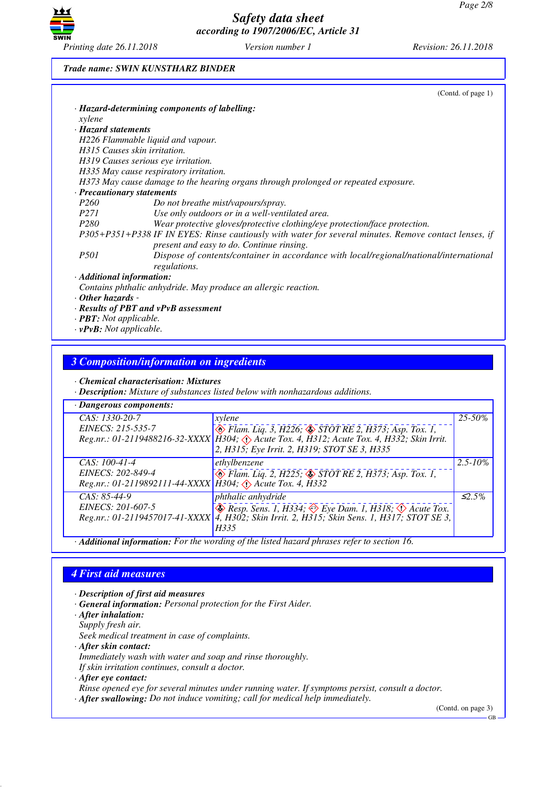

### *Trade name: SWIN KUNSTHARZ BINDER*

|                                 | (Cond. of page 1)                                                                                                                                  |
|---------------------------------|----------------------------------------------------------------------------------------------------------------------------------------------------|
|                                 | · Hazard-determining components of labelling:                                                                                                      |
| xylene                          |                                                                                                                                                    |
| · Hazard statements             |                                                                                                                                                    |
|                                 | H226 Flammable liquid and vapour.                                                                                                                  |
|                                 | H315 Causes skin irritation.                                                                                                                       |
|                                 | H319 Causes serious eye irritation.                                                                                                                |
|                                 | H335 May cause respiratory irritation.                                                                                                             |
|                                 | H373 May cause damage to the hearing organs through prolonged or repeated exposure.                                                                |
| · Precautionary statements      |                                                                                                                                                    |
| P <sub>260</sub>                | Do not breathe mist/vapours/spray.                                                                                                                 |
| <i>P271</i>                     | Use only outdoors or in a well-ventilated area.                                                                                                    |
| <i>P280</i>                     | Wear protective gloves/protective clothing/eye protection/face protection.                                                                         |
|                                 | P305+P351+P338 IF IN EYES: Rinse cautiously with water for several minutes. Remove contact lenses, if<br>present and easy to do. Continue rinsing. |
| <i>P501</i>                     | Dispose of contents/container in accordance with local/regional/national/international<br>regulations.                                             |
| $\cdot$ Additional information: |                                                                                                                                                    |
|                                 | Contains phthalic anhydride. May produce an allergic reaction.                                                                                     |
| $\cdot$ Other hazards -         |                                                                                                                                                    |
|                                 | $\cdot$ Results of PBT and vPvB assessment                                                                                                         |

- *· PBT: Not applicable.*
- *· vPvB: Not applicable.*

# *3 Composition/information on ingredients*

*· Chemical characterisation: Mixtures*

*· Description: Mixture of substances listed below with nonhazardous additions.*

| · Dangerous components:                                                                              |                                                                                                                                            |              |  |  |  |
|------------------------------------------------------------------------------------------------------|--------------------------------------------------------------------------------------------------------------------------------------------|--------------|--|--|--|
| CAS: 1330-20-7                                                                                       | xylene                                                                                                                                     | 25-50%       |  |  |  |
| EINECS: 215-535-7                                                                                    | $\leftrightarrow$ Flam. Lig. 3, H226; $\leftrightarrow$ STOT RE 2, H373; Asp. Tox. 1,                                                      |              |  |  |  |
|                                                                                                      | Reg.nr.: 01-2119488216-32-XXXX   H304; Acute Tox. 4, H312; Acute Tox. 4, H332; Skin Irrit.<br>2, H315; Eye Irrit. 2, H319; STOT SE 3, H335 |              |  |  |  |
| $CAS: 100-41-4$                                                                                      | ethylbenzene                                                                                                                               | $2.5 - 10\%$ |  |  |  |
| EINECS: 202-849-4<br>Reg.nr.: 01-2119892111-44-XXXX H304; $\langle \cdot \rangle$ Acute Tox. 4, H332 | Blam. Liq. 2, H225; STOT RE 2, H373; Asp. Tox. 1,                                                                                          |              |  |  |  |
| $CAS: 85-44-9$                                                                                       | phthalic anhydride                                                                                                                         | $\leq 2.5\%$ |  |  |  |
| EINECS: 201-607-5                                                                                    | $\leftrightarrow$ Resp. Sens. 1, H334; $\leftrightarrow$ Eye Dam. 1, H318; $\leftrightarrow$ Acute Tox.                                    |              |  |  |  |
|                                                                                                      | Reg.nr.: 01-2119457017-41-XXXX   4, H302; Skin Irrit. 2, H315; Skin Sens. 1, H317; STOT SE 3,                                              |              |  |  |  |
|                                                                                                      | H335                                                                                                                                       |              |  |  |  |
| · Additional information: For the wording of the listed hazard phrases refer to section 16.          |                                                                                                                                            |              |  |  |  |

# *4 First aid measures*

- *· Description of first aid measures*
- *· General information: Personal protection for the First Aider.*
- *· After inhalation:*
- *Supply fresh air.*

*Seek medical treatment in case of complaints.*

- *· After skin contact:*
- *Immediately wash with water and soap and rinse thoroughly. If skin irritation continues, consult a doctor.*
- *· After eye contact:*

*Rinse opened eye for several minutes under running water. If symptoms persist, consult a doctor.*

*· After swallowing: Do not induce vomiting; call for medical help immediately.*

(Contd. on page 3)

GB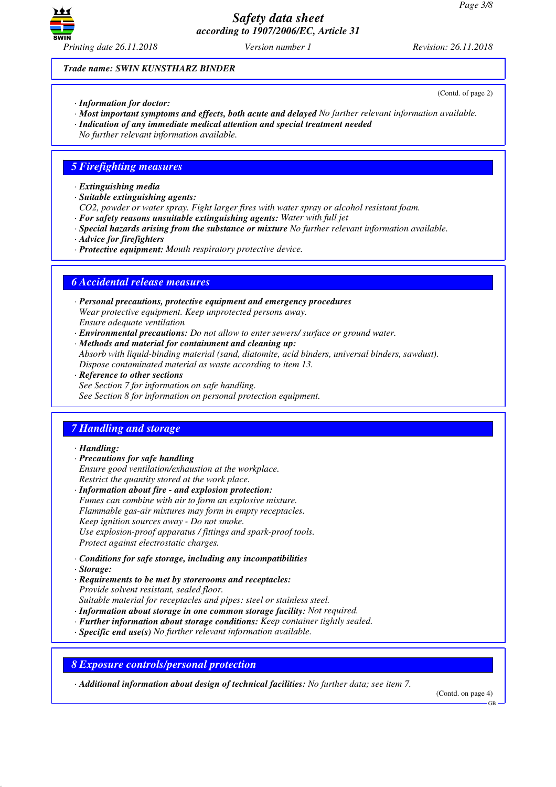

(Contd. of page 2)

*Trade name: SWIN KUNSTHARZ BINDER*

- *· Information for doctor:*
- *· Most important symptoms and effects, both acute and delayed No further relevant information available.*
- *· Indication of any immediate medical attention and special treatment needed*
- *No further relevant information available.*

### *5 Firefighting measures*

- *· Extinguishing media*
- *· Suitable extinguishing agents:*
- *CO2, powder or water spray. Fight larger fires with water spray or alcohol resistant foam.*
- *· For safety reasons unsuitable extinguishing agents: Water with full jet*
- *· Special hazards arising from the substance or mixture No further relevant information available.*
- *· Advice for firefighters*
- *· Protective equipment: Mouth respiratory protective device.*

### *6 Accidental release measures*

- *· Personal precautions, protective equipment and emergency procedures Wear protective equipment. Keep unprotected persons away. Ensure adequate ventilation*
- *· Environmental precautions: Do not allow to enter sewers/ surface or ground water.*
- *· Methods and material for containment and cleaning up: Absorb with liquid-binding material (sand, diatomite, acid binders, universal binders, sawdust). Dispose contaminated material as waste according to item 13.*
- *· Reference to other sections See Section 7 for information on safe handling. See Section 8 for information on personal protection equipment.*

## *7 Handling and storage*

#### *· Handling:*

- *· Precautions for safe handling*
- *Ensure good ventilation/exhaustion at the workplace. Restrict the quantity stored at the work place.*
- *· Information about fire and explosion protection: Fumes can combine with air to form an explosive mixture. Flammable gas-air mixtures may form in empty receptacles. Keep ignition sources away - Do not smoke. Use explosion-proof apparatus / fittings and spark-proof tools. Protect against electrostatic charges.*
- *· Conditions for safe storage, including any incompatibilities*
- *· Storage:*
- *· Requirements to be met by storerooms and receptacles: Provide solvent resistant, sealed floor.*
- *Suitable material for receptacles and pipes: steel or stainless steel.*
- *· Information about storage in one common storage facility: Not required.*
- *· Further information about storage conditions: Keep container tightly sealed.*
- *· Specific end use(s) No further relevant information available.*

*8 Exposure controls/personal protection*

*· Additional information about design of technical facilities: No further data; see item 7.*

(Contd. on page 4)

GB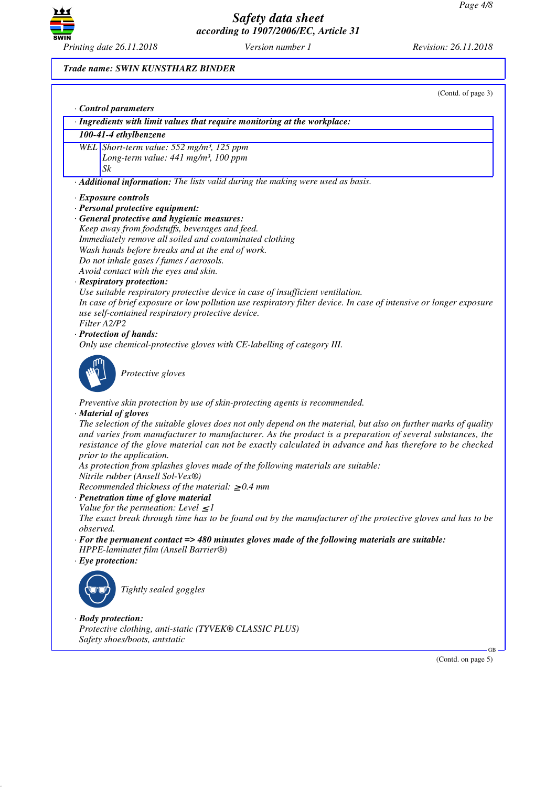GB

(Contd. on page 5)



*Safety data sheet according to 1907/2006/EC, Article 31*

### *Trade name: S*

| inting date 26.11.2018                                                            | Version number 1                                                                                                                                                                                                                                                                                                                         | Revision: 26.11.2018 |
|-----------------------------------------------------------------------------------|------------------------------------------------------------------------------------------------------------------------------------------------------------------------------------------------------------------------------------------------------------------------------------------------------------------------------------------|----------------------|
| ade name: SWIN KUNSTHARZ BINDER                                                   |                                                                                                                                                                                                                                                                                                                                          |                      |
|                                                                                   |                                                                                                                                                                                                                                                                                                                                          | (Contd. of page 3)   |
| <b>Control parameters</b>                                                         |                                                                                                                                                                                                                                                                                                                                          |                      |
|                                                                                   | · Ingredients with limit values that require monitoring at the workplace:                                                                                                                                                                                                                                                                |                      |
| 100-41-4 ethylbenzene                                                             |                                                                                                                                                                                                                                                                                                                                          |                      |
| WEL Short-term value: 552 mg/m <sup>3</sup> , 125 ppm                             |                                                                                                                                                                                                                                                                                                                                          |                      |
| Long-term value: 441 mg/m <sup>3</sup> , 100 ppm                                  |                                                                                                                                                                                                                                                                                                                                          |                      |
| Sk                                                                                |                                                                                                                                                                                                                                                                                                                                          |                      |
|                                                                                   | · Additional information: The lists valid during the making were used as basis.                                                                                                                                                                                                                                                          |                      |
| · Exposure controls                                                               |                                                                                                                                                                                                                                                                                                                                          |                      |
| · Personal protective equipment:<br>General protective and hygienic measures:     |                                                                                                                                                                                                                                                                                                                                          |                      |
| Keep away from foodstuffs, beverages and feed.                                    |                                                                                                                                                                                                                                                                                                                                          |                      |
| Immediately remove all soiled and contaminated clothing                           |                                                                                                                                                                                                                                                                                                                                          |                      |
| Wash hands before breaks and at the end of work.                                  |                                                                                                                                                                                                                                                                                                                                          |                      |
| Do not inhale gases / fumes / aerosols.                                           |                                                                                                                                                                                                                                                                                                                                          |                      |
| Avoid contact with the eyes and skin.                                             |                                                                                                                                                                                                                                                                                                                                          |                      |
| <b>Respiratory protection:</b>                                                    | Use suitable respiratory protective device in case of insufficient ventilation.                                                                                                                                                                                                                                                          |                      |
|                                                                                   | In case of brief exposure or low pollution use respiratory filter device. In case of intensive or longer exposure                                                                                                                                                                                                                        |                      |
| use self-contained respiratory protective device.                                 |                                                                                                                                                                                                                                                                                                                                          |                      |
| Filter A2/P2                                                                      |                                                                                                                                                                                                                                                                                                                                          |                      |
| Protection of hands:                                                              |                                                                                                                                                                                                                                                                                                                                          |                      |
|                                                                                   | Only use chemical-protective gloves with CE-labelling of category III.                                                                                                                                                                                                                                                                   |                      |
| Protective gloves                                                                 |                                                                                                                                                                                                                                                                                                                                          |                      |
| <b>Material of gloves</b>                                                         | Preventive skin protection by use of skin-protecting agents is recommended.                                                                                                                                                                                                                                                              |                      |
|                                                                                   | The selection of the suitable gloves does not only depend on the material, but also on further marks of quality<br>and varies from manufacturer to manufacturer. As the product is a preparation of several substances, the<br>resistance of the glove material can not be exactly calculated in advance and has therefore to be checked |                      |
| prior to the application.<br>Nitrile rubber (Ansell Sol-Vex®)                     | As protection from splashes gloves made of the following materials are suitable:                                                                                                                                                                                                                                                         |                      |
| Recommended thickness of the material: $\geq 0.4$ mm                              |                                                                                                                                                                                                                                                                                                                                          |                      |
| Penetration time of glove material                                                |                                                                                                                                                                                                                                                                                                                                          |                      |
| Value for the permeation: Level $\leq$ 1                                          |                                                                                                                                                                                                                                                                                                                                          |                      |
| observed.                                                                         | The exact break through time has to be found out by the manufacturer of the protective gloves and has to be                                                                                                                                                                                                                              |                      |
|                                                                                   | $\cdot$ For the permanent contact => 480 minutes gloves made of the following materials are suitable:                                                                                                                                                                                                                                    |                      |
| HPPE-laminatet film (Ansell Barrier®)                                             |                                                                                                                                                                                                                                                                                                                                          |                      |
| $\cdot$ Eye protection:                                                           |                                                                                                                                                                                                                                                                                                                                          |                      |
|                                                                                   |                                                                                                                                                                                                                                                                                                                                          |                      |
| Tightly sealed goggles                                                            |                                                                                                                                                                                                                                                                                                                                          |                      |
| <b>Body protection:</b><br>Protective clothing, anti-static (TYVEK® CLASSIC PLUS) |                                                                                                                                                                                                                                                                                                                                          |                      |
| Safety shoes/boots, antstatic                                                     |                                                                                                                                                                                                                                                                                                                                          |                      |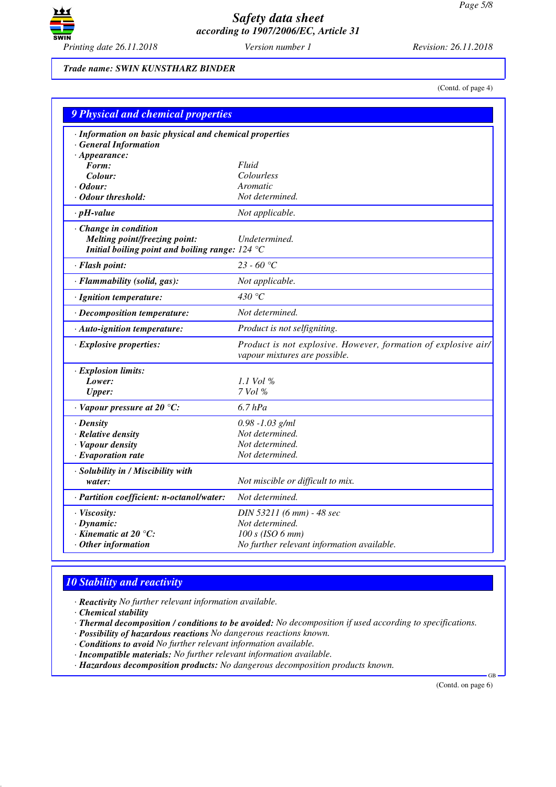

*Trade name: SWIN KUNSTHARZ BINDER*

(Contd. of page 4)

| 9 Physical and chemical properties                                                                                                |                                                                                                 |
|-----------------------------------------------------------------------------------------------------------------------------------|-------------------------------------------------------------------------------------------------|
| · Information on basic physical and chemical properties<br>· General Information                                                  |                                                                                                 |
| $\cdot$ Appearance:                                                                                                               | Fluid                                                                                           |
| Form:<br>Colour:                                                                                                                  | Colourless                                                                                      |
| $\cdot$ Odour:                                                                                                                    | Aromatic                                                                                        |
| Odour threshold:                                                                                                                  | Not determined.                                                                                 |
| $\cdot$ pH-value                                                                                                                  | Not applicable.                                                                                 |
|                                                                                                                                   |                                                                                                 |
| · Change in condition<br>Melting point/freezing point:<br>Initial boiling point and boiling range: $124 \text{ }^{\circ}\text{C}$ | Undetermined.                                                                                   |
| · Flash point:                                                                                                                    | 23 - 60 °C                                                                                      |
| · Flammability (solid, gas):                                                                                                      | Not applicable.                                                                                 |
| · Ignition temperature:                                                                                                           | 430 °C                                                                                          |
| · Decomposition temperature:                                                                                                      | Not determined.                                                                                 |
| · Auto-ignition temperature:                                                                                                      | Product is not selfigniting.                                                                    |
| · Explosive properties:                                                                                                           | Product is not explosive. However, formation of explosive air/<br>vapour mixtures are possible. |
| · Explosion limits:                                                                                                               |                                                                                                 |
| Lower:                                                                                                                            | 1.1 Vol $\%$                                                                                    |
| <b>Upper:</b>                                                                                                                     | 7 Vol %                                                                                         |
| $\cdot$ Vapour pressure at 20 °C:                                                                                                 | $6.7$ $hPa$                                                                                     |
| · Density                                                                                                                         | $0.98 - 1.03$ g/ml                                                                              |
| · Relative density                                                                                                                | Not determined.                                                                                 |
| · Vapour density                                                                                                                  | Not determined.                                                                                 |
| $\cdot$ Evaporation rate                                                                                                          | Not determined.                                                                                 |
| · Solubility in / Miscibility with                                                                                                |                                                                                                 |
| water:                                                                                                                            | Not miscible or difficult to mix.                                                               |
| · Partition coefficient: n-octanol/water:                                                                                         | Not determined.                                                                                 |
| · Viscosity:                                                                                                                      | DIN 53211 (6 mm) - 48 sec                                                                       |
| $\cdot$ Dynamic:                                                                                                                  | Not determined.                                                                                 |
| $\cdot$ Kinematic at 20 $\degree$ C:                                                                                              | $100 s$ (ISO 6 mm)                                                                              |
| Other information                                                                                                                 | No further relevant information available.                                                      |

## *10 Stability and reactivity*

*· Reactivity No further relevant information available.*

*· Chemical stability*

*· Thermal decomposition / conditions to be avoided: No decomposition if used according to specifications.*

*· Possibility of hazardous reactions No dangerous reactions known.*

*· Conditions to avoid No further relevant information available.*

*· Incompatible materials: No further relevant information available.*

*· Hazardous decomposition products: No dangerous decomposition products known.*

(Contd. on page 6)

GB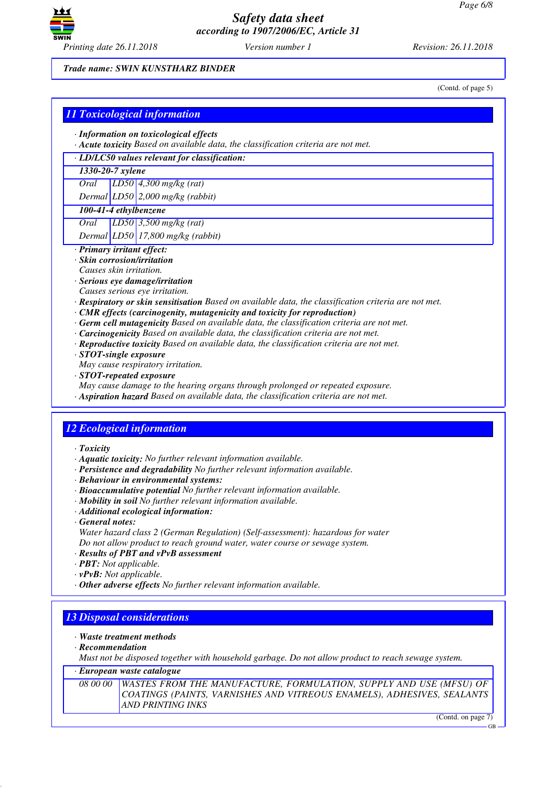

#### *Trade name: SWIN KUNSTHARZ BINDER*

(Contd. of page 5)

## *11 Toxicological information*

- *· Information on toxicological effects*
- *· Acute toxicity Based on available data, the classification criteria are not met.*
- *· LD/LC50 values relevant for classification:*

### *1330-20-7 xylene*

*Oral LD50 4,300 mg/kg (rat)*

*Dermal LD50 2,000 mg/kg (rabbit)*

## *100-41-4 ethylbenzene*

*Oral LD50 3,500 mg/kg (rat)*

*Dermal LD50 17,800 mg/kg (rabbit)*

- *· Primary irritant effect:*
- *· Skin corrosion/irritation*
- *Causes skin irritation.*
- *· Serious eye damage/irritation*
- *Causes serious eye irritation.*
- *· Respiratory or skin sensitisation Based on available data, the classification criteria are not met.*
- *· CMR effects (carcinogenity, mutagenicity and toxicity for reproduction)*
- *· Germ cell mutagenicity Based on available data, the classification criteria are not met.*
- *· Carcinogenicity Based on available data, the classification criteria are not met.*
- *· Reproductive toxicity Based on available data, the classification criteria are not met.*
- *· STOT-single exposure*
- *May cause respiratory irritation.*
- *· STOT-repeated exposure*
- *May cause damage to the hearing organs through prolonged or repeated exposure.*
- *· Aspiration hazard Based on available data, the classification criteria are not met.*

## *12 Ecological information*

- *· Toxicity*
- *· Aquatic toxicity: No further relevant information available.*
- *· Persistence and degradability No further relevant information available.*
- *· Behaviour in environmental systems:*
- *· Bioaccumulative potential No further relevant information available.*
- *· Mobility in soil No further relevant information available.*
- *· Additional ecological information:*
- *· General notes:*
- *Water hazard class 2 (German Regulation) (Self-assessment): hazardous for water Do not allow product to reach ground water, water course or sewage system.*
- *· Results of PBT and vPvB assessment*
- *· PBT: Not applicable.*
- *· vPvB: Not applicable.*
- *· Other adverse effects No further relevant information available.*

## *13 Disposal considerations*

- *· Waste treatment methods*
- *· Recommendation*

*Must not be disposed together with household garbage. Do not allow product to reach sewage system.*

### *· European waste catalogue*

*08 00 00 WASTES FROM THE MANUFACTURE, FORMULATION, SUPPLY AND USE (MFSU) OF COATINGS (PAINTS, VARNISHES AND VITREOUS ENAMELS), ADHESIVES, SEALANTS AND PRINTING INKS*

(Contd. on page 7)

GB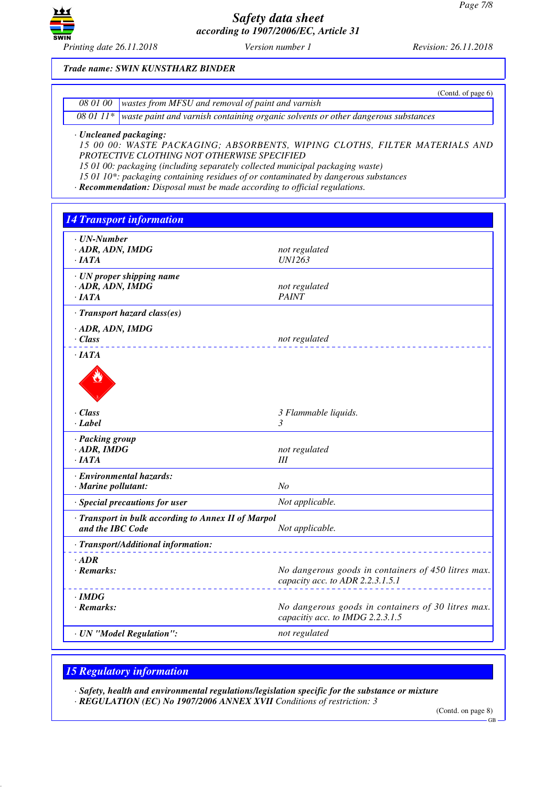

*Trade name: SWIN KUNSTHARZ BINDER*

|                                                                                                        | (Contd. of page $6$ ) |
|--------------------------------------------------------------------------------------------------------|-----------------------|
| 08 01 00 wastes from MFSU and removal of paint and varnish                                             |                       |
| $\overline{080111*}$ waste paint and varnish containing organic solvents or other dangerous substances |                       |

*· Uncleaned packaging:*

*15 00 00: WASTE PACKAGING; ABSORBENTS, WIPING CLOTHS, FILTER MATERIALS AND PROTECTIVE CLOTHING NOT OTHERWISE SPECIFIED*

*15 01 00: packaging (including separately collected municipal packaging waste)*

*15 01 10\*: packaging containing residues of or contaminated by dangerous substances*

*· Recommendation: Disposal must be made according to official regulations.*

*14 Transport information · UN-Number · ADR, ADN, IMDG not regulated · IATA UN1263 · UN proper shipping name · ADR, ADN, IMDG not regulated not regulated not regulated · IATA PAINT · Transport hazard class(es) · ADR, ADN, IMDG · Class not regulated · IATA* de Cardinal *· Class 3 Flammable liquids. · Label 3 · Packing group · ADR, IMDG not regulated · IATA III · Environmental hazards: · Marine pollutant: No · Special precautions for user Not applicable. · Transport in bulk according to Annex II of Marpol* **and the IBC Code** *Not applicable. · Transport/Additional information: · ADR · Remarks: No dangerous goods in containers of 450 litres max. capacity acc. to ADR 2.2.3.1.5.1 · IMDG · Remarks: No dangerous goods in containers of 30 litres max. capacitiy acc. to IMDG 2.2.3.1.5 · UN "Model Regulation": not regulated*

## *15 Regulatory information*

*· Safety, health and environmental regulations/legislation specific for the substance or mixture · REGULATION (EC) No 1907/2006 ANNEX XVII Conditions of restriction: 3*

(Contd. on page 8)

GB